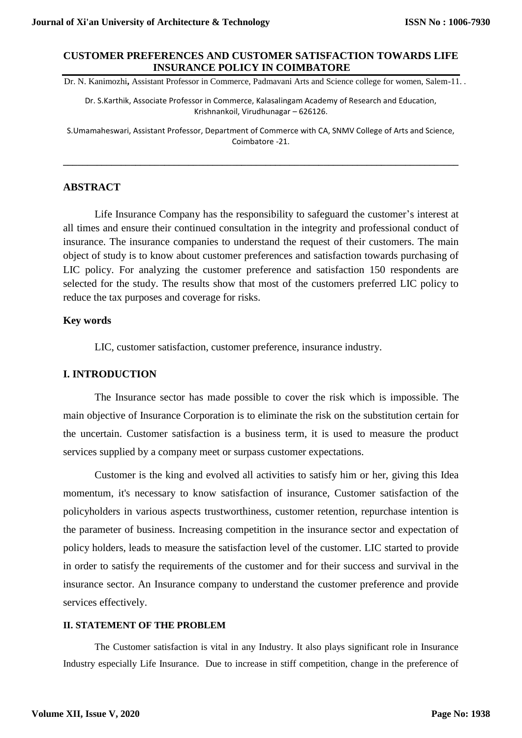## **CUSTOMER PREFERENCES AND CUSTOMER SATISFACTION TOWARDS LIFE INSURANCE POLICY IN COIMBATORE**

Dr. N. Kanimozhi**,** Assistant Professor in Commerce, Padmavani Arts and Science college for women, Salem-11. .

Dr. S.Karthik, Associate Professor in Commerce, Kalasalingam Academy of Research and Education, Krishnankoil, Virudhunagar – 626126.

S.Umamaheswari, Assistant Professor, Department of Commerce with CA, SNMV College of Arts and Science, Coimbatore -21.

**\_\_\_\_\_\_\_\_\_\_\_\_\_\_\_\_\_\_\_\_\_\_\_\_\_\_\_\_\_\_\_\_\_\_\_\_\_\_\_\_\_\_\_\_\_\_\_\_\_\_\_\_\_\_\_\_\_\_\_\_\_\_\_\_\_\_\_\_\_\_\_\_\_\_\_\_\_\_\_\_\_\_**

## **ABSTRACT**

Life Insurance Company has the responsibility to safeguard the customer's interest at all times and ensure their continued consultation in the integrity and professional conduct of insurance. The insurance companies to understand the request of their customers. The main object of study is to know about customer preferences and satisfaction towards purchasing of LIC policy. For analyzing the customer preference and satisfaction 150 respondents are selected for the study. The results show that most of the customers preferred LIC policy to reduce the tax purposes and coverage for risks.

## **Key words**

LIC, customer satisfaction, customer preference, insurance industry.

## **I. INTRODUCTION**

The Insurance sector has made possible to cover the risk which is impossible. The main objective of Insurance Corporation is to eliminate the risk on the substitution certain for the uncertain. Customer satisfaction is a business term, it is used to measure the product services supplied by a company meet or surpass customer expectations.

Customer is the king and evolved all activities to satisfy him or her, giving this Idea momentum, it's necessary to know satisfaction of insurance, Customer satisfaction of the policyholders in various aspects trustworthiness, customer retention, repurchase intention is the parameter of business. Increasing competition in the insurance sector and expectation of policy holders, leads to measure the satisfaction level of the customer. LIC started to provide in order to satisfy the requirements of the customer and for their success and survival in the insurance sector. An Insurance company to understand the customer preference and provide services effectively.

#### **II. STATEMENT OF THE PROBLEM**

The Customer satisfaction is vital in any Industry. It also plays significant role in Insurance Industry especially Life Insurance. Due to increase in stiff competition, change in the preference of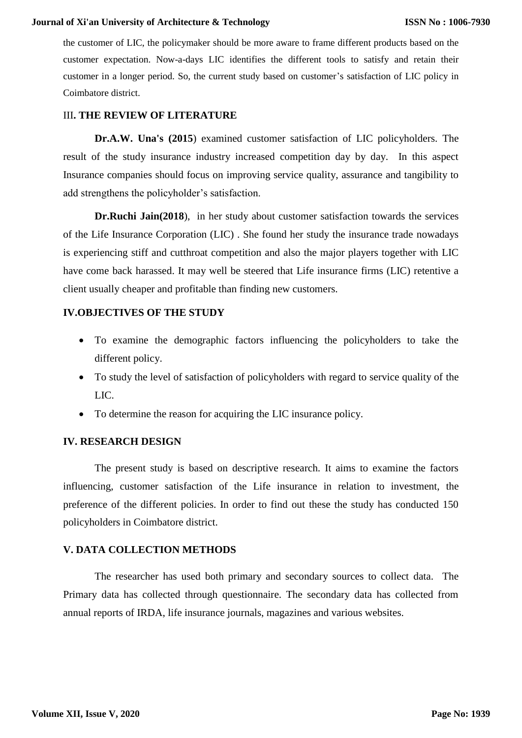#### **Journal of Xi'an University of Architecture & Technology**

the customer of LIC, the policymaker should be more aware to frame different products based on the customer expectation. Now-a-days LIC identifies the different tools to satisfy and retain their customer in a longer period. So, the current study based on customer's satisfaction of LIC policy in Coimbatore district.

## III**. THE REVIEW OF LITERATURE**

**Dr.A.W. Una's (2015**) examined customer satisfaction of LIC policyholders. The result of the study insurance industry increased competition day by day. In this aspect Insurance companies should focus on improving service quality, assurance and tangibility to add strengthens the policyholder's satisfaction.

**Dr.Ruchi Jain(2018**), in her study about customer satisfaction towards the services of the Life Insurance Corporation (LIC) . She found her study the insurance trade nowadays is experiencing stiff and cutthroat competition and also the major players together with LIC have come back harassed. It may well be steered that Life insurance firms (LIC) retentive a client usually cheaper and profitable than finding new customers.

## **IV.OBJECTIVES OF THE STUDY**

- To examine the demographic factors influencing the policyholders to take the different policy.
- To study the level of satisfaction of policyholders with regard to service quality of the LIC.
- To determine the reason for acquiring the LIC insurance policy.

#### **IV. RESEARCH DESIGN**

The present study is based on descriptive research. It aims to examine the factors influencing, customer satisfaction of the Life insurance in relation to investment, the preference of the different policies. In order to find out these the study has conducted 150 policyholders in Coimbatore district.

#### **V. DATA COLLECTION METHODS**

The researcher has used both primary and secondary sources to collect data. The Primary data has collected through questionnaire. The secondary data has collected from annual reports of IRDA, life insurance journals, magazines and various websites.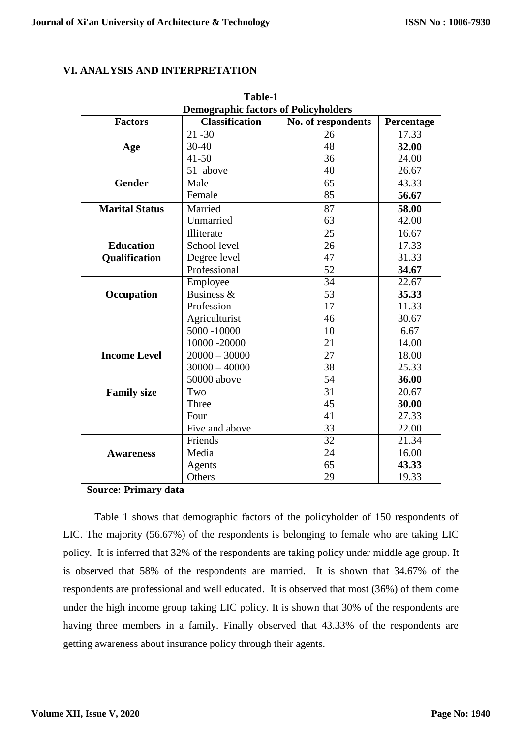## **VI. ANALYSIS AND INTERPRETATION**

| Table-1                                     |                       |                    |            |  |
|---------------------------------------------|-----------------------|--------------------|------------|--|
| <b>Demographic factors of Policyholders</b> |                       |                    |            |  |
| <b>Factors</b>                              | <b>Classification</b> | No. of respondents | Percentage |  |
|                                             | $21 - 30$             | 26                 | 17.33      |  |
| Age                                         | $30 - 40$             | 48                 | 32.00      |  |
|                                             | $41 - 50$             | 36                 | 24.00      |  |
|                                             | 51 above              | 40                 | 26.67      |  |
| <b>Gender</b>                               | Male                  | 65                 | 43.33      |  |
|                                             | Female                | 85                 | 56.67      |  |
| <b>Marital Status</b>                       | Married               | 87                 | 58.00      |  |
|                                             | Unmarried             | 63                 | 42.00      |  |
|                                             | Illiterate            | 25                 | 16.67      |  |
| <b>Education</b>                            | School level          | 26                 | 17.33      |  |
| <b>Qualification</b>                        | Degree level          | 47                 | 31.33      |  |
|                                             | Professional          | 52                 | 34.67      |  |
|                                             | Employee              | 34                 | 22.67      |  |
| Occupation                                  | Business &            | 53                 | 35.33      |  |
|                                             | Profession            | 17                 | 11.33      |  |
|                                             | Agriculturist         | 46                 | 30.67      |  |
|                                             | 5000 -10000           | 10                 | 6.67       |  |
|                                             | 10000 -20000          | 21                 | 14.00      |  |
| <b>Income Level</b>                         | $20000 - 30000$       | 27                 | 18.00      |  |
|                                             | $30000 - 40000$       | 38                 | 25.33      |  |
|                                             | 50000 above           | 54                 | 36.00      |  |
| <b>Family size</b>                          | Two                   | 31                 | 20.67      |  |
|                                             | Three                 | 45                 | 30.00      |  |
|                                             | Four                  | 41                 | 27.33      |  |
|                                             | Five and above        | 33                 | 22.00      |  |
|                                             | Friends               | $\overline{32}$    | 21.34      |  |
| <b>Awareness</b>                            | Media                 | 24                 | 16.00      |  |
|                                             | Agents                | 65                 | 43.33      |  |
|                                             | Others                | 29                 | 19.33      |  |

**Source: Primary data**

Table 1 shows that demographic factors of the policyholder of 150 respondents of LIC. The majority (56.67%) of the respondents is belonging to female who are taking LIC policy. It is inferred that 32% of the respondents are taking policy under middle age group. It is observed that 58% of the respondents are married. It is shown that 34.67% of the respondents are professional and well educated. It is observed that most (36%) of them come under the high income group taking LIC policy. It is shown that 30% of the respondents are having three members in a family. Finally observed that 43.33% of the respondents are getting awareness about insurance policy through their agents.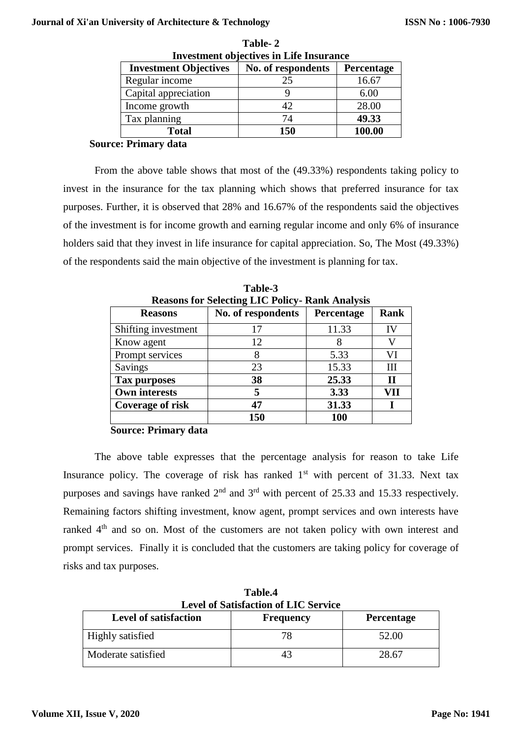#### **Journal of Xi'an University of Architecture & Technology**

| Investment objectives in Life Insurance |                    |            |  |
|-----------------------------------------|--------------------|------------|--|
| <b>Investment Objectives</b>            | No. of respondents | Percentage |  |
| Regular income                          | 25                 | 16.67      |  |
| Capital appreciation                    |                    | 6.00       |  |
| Income growth                           | 42                 | 28.00      |  |
| Tax planning                            | 74                 | 49.33      |  |
| <b>Total</b>                            | 150                | 100.00     |  |

| Table- 2                                       |
|------------------------------------------------|
| <b>Investment objectives in Life Insurance</b> |

## **Source: Primary data**

From the above table shows that most of the (49.33%) respondents taking policy to invest in the insurance for the tax planning which shows that preferred insurance for tax purposes. Further, it is observed that 28% and 16.67% of the respondents said the objectives of the investment is for income growth and earning regular income and only 6% of insurance holders said that they invest in life insurance for capital appreciation. So, The Most (49.33%) of the respondents said the main objective of the investment is planning for tax.

| <b>Reasons for Selecting LIC Policy- Rank Analysis</b> |                    |            |             |
|--------------------------------------------------------|--------------------|------------|-------------|
| <b>Reasons</b>                                         | No. of respondents | Percentage | <b>Rank</b> |
| Shifting investment                                    | 17                 | 11.33      | IV          |
| Know agent                                             | 12                 |            |             |
| Prompt services                                        | 8                  | 5.33       | VI          |
| Savings                                                | 23                 | 15.33      | Ш           |
| Tax purposes                                           | 38                 | 25.33      | Н           |
| <b>Own interests</b>                                   | 5                  | 3.33       | VH          |
| <b>Coverage of risk</b>                                | 47                 | 31.33      |             |
|                                                        | 150                | 100        |             |

**Table-3**

## **Source: Primary data**

The above table expresses that the percentage analysis for reason to take Life Insurance policy. The coverage of risk has ranked  $1<sup>st</sup>$  with percent of 31.33. Next tax purposes and savings have ranked  $2<sup>nd</sup>$  and  $3<sup>rd</sup>$  with percent of 25.33 and 15.33 respectively. Remaining factors shifting investment, know agent, prompt services and own interests have ranked 4<sup>th</sup> and so on. Most of the customers are not taken policy with own interest and prompt services. Finally it is concluded that the customers are taking policy for coverage of risks and tax purposes.

| Table.4<br><b>Level of Satisfaction of LIC Service</b> |                  |                   |  |  |
|--------------------------------------------------------|------------------|-------------------|--|--|
| <b>Level of satisfaction</b>                           | <b>Frequency</b> | <b>Percentage</b> |  |  |
| Highly satisfied                                       | 78               | 52.00             |  |  |
| Moderate satisfied                                     | 43               | 28.67             |  |  |